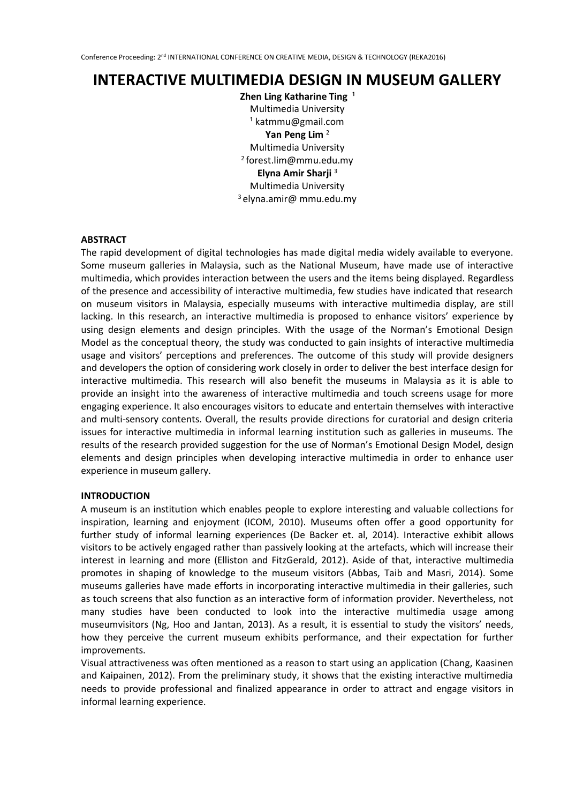# **INTERACTIVE MULTIMEDIA DESIGN IN MUSEUM GALLERY**

**Zhen Ling Katharine Ting**<sup>1</sup> Multimedia University  $1$  katmmu@gmail.com **Yan Peng Lim** <sup>2</sup> Multimedia University 2 forest.lim@mmu.edu.my **Elyna Amir Sharji** <sup>3</sup> Multimedia University <sup>3</sup>elyna.amir@ mmu.edu.my

## **ABSTRACT**

The rapid development of digital technologies has made digital media widely available to everyone. Some museum galleries in Malaysia, such as the National Museum, have made use of interactive multimedia, which provides interaction between the users and the items being displayed. Regardless of the presence and accessibility of interactive multimedia, few studies have indicated that research on museum visitors in Malaysia, especially museums with interactive multimedia display, are still lacking. In this research, an interactive multimedia is proposed to enhance visitors' experience by using design elements and design principles. With the usage of the Norman's Emotional Design Model as the conceptual theory, the study was conducted to gain insights of interactive multimedia usage and visitors' perceptions and preferences. The outcome of this study will provide designers and developers the option of considering work closely in order to deliver the best interface design for interactive multimedia. This research will also benefit the museums in Malaysia as it is able to provide an insight into the awareness of interactive multimedia and touch screens usage for more engaging experience. It also encourages visitors to educate and entertain themselves with interactive and multi-sensory contents. Overall, the results provide directions for curatorial and design criteria issues for interactive multimedia in informal learning institution such as galleries in museums. The results of the research provided suggestion for the use of Norman's Emotional Design Model, design elements and design principles when developing interactive multimedia in order to enhance user experience in museum gallery.

## **INTRODUCTION**

A museum is an institution which enables people to explore interesting and valuable collections for inspiration, learning and enjoyment (ICOM, 2010). Museums often offer a good opportunity for further study of informal learning experiences (De Backer et. al, 2014). Interactive exhibit allows visitors to be actively engaged rather than passively looking at the artefacts, which will increase their interest in learning and more (Elliston and FitzGerald, 2012). Aside of that, interactive multimedia promotes in shaping of knowledge to the museum visitors (Abbas, Taib and Masri, 2014). Some museums galleries have made efforts in incorporating interactive multimedia in their galleries, such as touch screens that also function as an interactive form of information provider. Nevertheless, not many studies have been conducted to look into the interactive multimedia usage among museumvisitors (Ng, Hoo and Jantan, 2013). As a result, it is essential to study the visitors' needs, how they perceive the current museum exhibits performance, and their expectation for further improvements.

Visual attractiveness was often mentioned as a reason to start using an application (Chang, Kaasinen and Kaipainen, 2012). From the preliminary study, it shows that the existing interactive multimedia needs to provide professional and finalized appearance in order to attract and engage visitors in informal learning experience.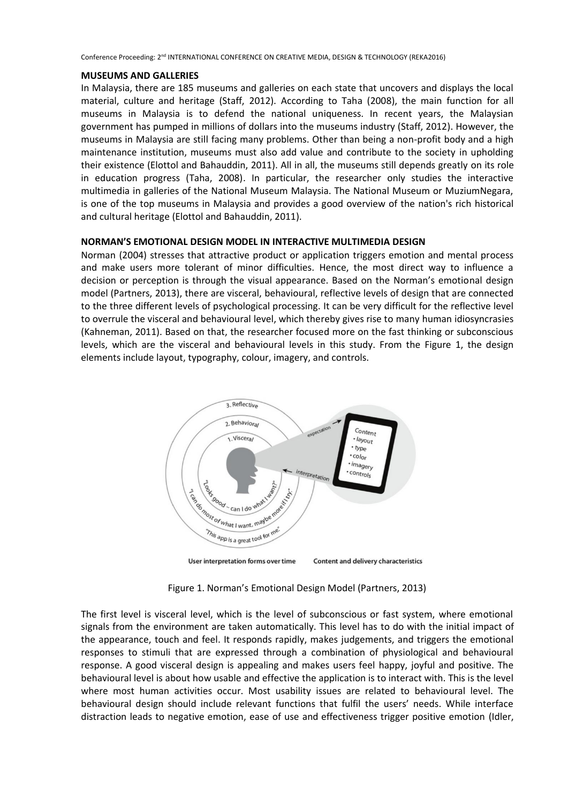#### **MUSEUMS AND GALLERIES**

In Malaysia, there are 185 museums and galleries on each state that uncovers and displays the local material, culture and heritage (Staff, 2012). According to Taha (2008), the main function for all museums in Malaysia is to defend the national uniqueness. In recent years, the Malaysian government has pumped in millions of dollars into the museums industry (Staff, 2012). However, the museums in Malaysia are still facing many problems. Other than being a non-profit body and a high maintenance institution, museums must also add value and contribute to the society in upholding their existence (Elottol and Bahauddin, 2011). All in all, the museums still depends greatly on its role in education progress (Taha, 2008). In particular, the researcher only studies the interactive multimedia in galleries of the National Museum Malaysia. The National Museum or MuziumNegara, is one of the top museums in Malaysia and provides a good overview of the nation's rich historical and cultural heritage (Elottol and Bahauddin, 2011).

# **NORMAN'S EMOTIONAL DESIGN MODEL IN INTERACTIVE MULTIMEDIA DESIGN**

Norman (2004) stresses that attractive product or application triggers emotion and mental process and make users more tolerant of minor difficulties. Hence, the most direct way to influence a decision or perception is through the visual appearance. Based on the Norman's emotional design model (Partners, 2013), there are visceral, behavioural, reflective levels of design that are connected to the three different levels of psychological processing. It can be very difficult for the reflective level to overrule the visceral and behavioural level, which thereby gives rise to many human idiosyncrasies (Kahneman, 2011). Based on that, the researcher focused more on the fast thinking or subconscious levels, which are the visceral and behavioural levels in this study. From the Figure 1, the design elements include layout, typography, colour, imagery, and controls.



Figure 1. Norman's Emotional Design Model (Partners, 2013)

The first level is visceral level, which is the level of subconscious or fast system, where emotional signals from the environment are taken automatically. This level has to do with the initial impact of the appearance, touch and feel. It responds rapidly, makes judgements, and triggers the emotional responses to stimuli that are expressed through a combination of physiological and behavioural response. A good visceral design is appealing and makes users feel happy, joyful and positive. The behavioural level is about how usable and effective the application is to interact with. This is the level where most human activities occur. Most usability issues are related to behavioural level. The behavioural design should include relevant functions that fulfil the users' needs. While interface distraction leads to negative emotion, ease of use and effectiveness trigger positive emotion (Idler,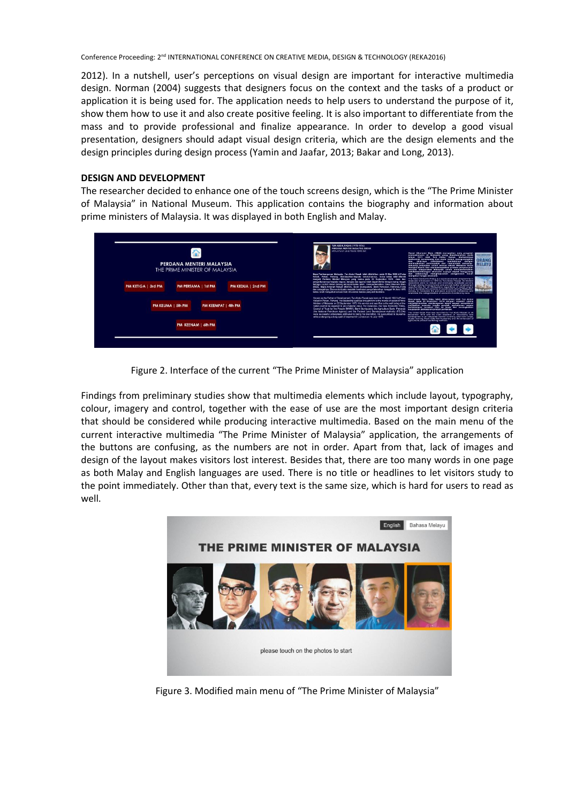2012). In a nutshell, user's perceptions on visual design are important for interactive multimedia design. Norman (2004) suggests that designers focus on the context and the tasks of a product or application it is being used for. The application needs to help users to understand the purpose of it, show them how to use it and also create positive feeling. It is also important to differentiate from the mass and to provide professional and finalize appearance. In order to develop a good visual presentation, designers should adapt visual design criteria, which are the design elements and the design principles during design process (Yamin and Jaafar, 2013; Bakar and Long, 2013).

# **DESIGN AND DEVELOPMENT**

The researcher decided to enhance one of the touch screens design, which is the "The Prime Minister of Malaysia" in National Museum. This application contains the biography and information about prime ministers of Malaysia. It was displayed in both English and Malay.



Figure 2. Interface of the current "The Prime Minister of Malaysia" application

Findings from preliminary studies show that multimedia elements which include layout, typography, colour, imagery and control, together with the ease of use are the most important design criteria that should be considered while producing interactive multimedia. Based on the main menu of the current interactive multimedia "The Prime Minister of Malaysia" application, the arrangements of the buttons are confusing, as the numbers are not in order. Apart from that, lack of images and design of the layout makes visitors lost interest. Besides that, there are too many words in one page as both Malay and English languages are used. There is no title or headlines to let visitors study to the point immediately. Other than that, every text is the same size, which is hard for users to read as well.



Figure 3. Modified main menu of "The Prime Minister of Malaysia"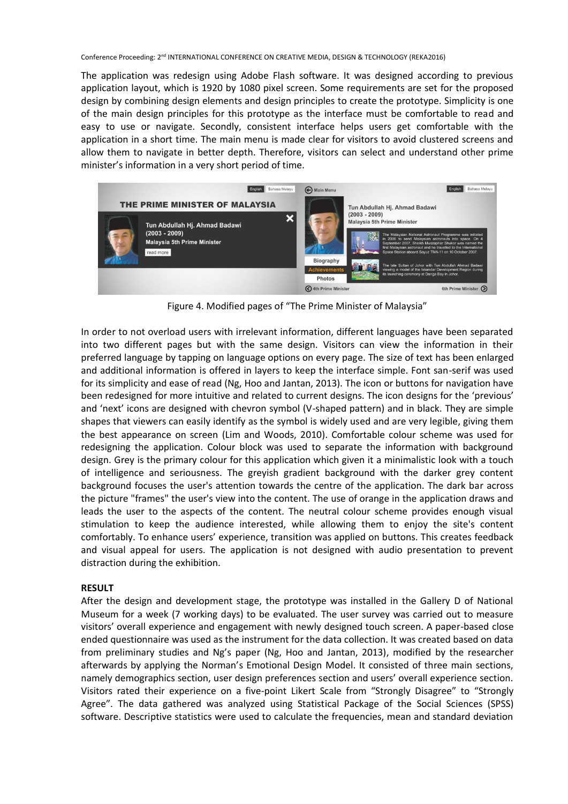The application was redesign using Adobe Flash software. It was designed according to previous application layout, which is 1920 by 1080 pixel screen. Some requirements are set for the proposed design by combining design elements and design principles to create the prototype. Simplicity is one of the main design principles for this prototype as the interface must be comfortable to read and easy to use or navigate. Secondly, consistent interface helps users get comfortable with the application in a short time. The main menu is made clear for visitors to avoid clustered screens and allow them to navigate in better depth. Therefore, visitors can select and understand other prime minister's information in a very short period of time.



Figure 4. Modified pages of "The Prime Minister of Malaysia"

In order to not overload users with irrelevant information, different languages have been separated into two different pages but with the same design. Visitors can view the information in their preferred language by tapping on language options on every page. The size of text has been enlarged and additional information is offered in layers to keep the interface simple. Font san-serif was used for its simplicity and ease of read (Ng, Hoo and Jantan, 2013). The icon or buttons for navigation have been redesigned for more intuitive and related to current designs. The icon designs for the 'previous' and 'next' icons are designed with chevron symbol (V-shaped pattern) and in black. They are simple shapes that viewers can easily identify as the symbol is widely used and are very legible, giving them the best appearance on screen (Lim and Woods, 2010). Comfortable colour scheme was used for redesigning the application. Colour block was used to separate the information with background design. Grey is the primary colour for this application which given it a minimalistic look with a touch of intelligence and seriousness. The greyish gradient background with the darker grey content background focuses the user's attention towards the centre of the application. The dark bar across the picture "frames" the user's view into the content. The use of orange in the application draws and leads the user to the aspects of the content. The neutral colour scheme provides enough visual stimulation to keep the audience interested, while allowing them to enjoy the site's content comfortably. To enhance users' experience, transition was applied on buttons. This creates feedback and visual appeal for users. The application is not designed with audio presentation to prevent distraction during the exhibition.

# **RESULT**

After the design and development stage, the prototype was installed in the Gallery D of National Museum for a week (7 working days) to be evaluated. The user survey was carried out to measure visitors' overall experience and engagement with newly designed touch screen. A paper-based close ended questionnaire was used as the instrument for the data collection. It was created based on data from preliminary studies and Ng's paper (Ng, Hoo and Jantan, 2013), modified by the researcher afterwards by applying the Norman's Emotional Design Model. It consisted of three main sections, namely demographics section, user design preferences section and users' overall experience section. Visitors rated their experience on a five-point Likert Scale from "Strongly Disagree" to "Strongly Agree". The data gathered was analyzed using Statistical Package of the Social Sciences (SPSS) software. Descriptive statistics were used to calculate the frequencies, mean and standard deviation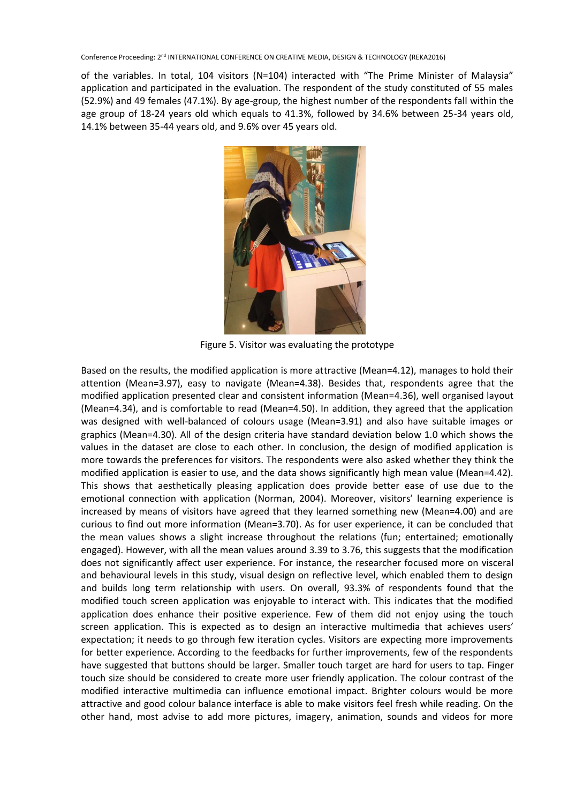of the variables. In total, 104 visitors (N=104) interacted with "The Prime Minister of Malaysia" application and participated in the evaluation. The respondent of the study constituted of 55 males (52.9%) and 49 females (47.1%). By age-group, the highest number of the respondents fall within the age group of 18-24 years old which equals to 41.3%, followed by 34.6% between 25-34 years old, 14.1% between 35-44 years old, and 9.6% over 45 years old.



Figure 5. Visitor was evaluating the prototype

Based on the results, the modified application is more attractive (Mean=4.12), manages to hold their attention (Mean=3.97), easy to navigate (Mean=4.38). Besides that, respondents agree that the modified application presented clear and consistent information (Mean=4.36), well organised layout (Mean=4.34), and is comfortable to read (Mean=4.50). In addition, they agreed that the application was designed with well-balanced of colours usage (Mean=3.91) and also have suitable images or graphics (Mean=4.30). All of the design criteria have standard deviation below 1.0 which shows the values in the dataset are close to each other. In conclusion, the design of modified application is more towards the preferences for visitors. The respondents were also asked whether they think the modified application is easier to use, and the data shows significantly high mean value (Mean=4.42). This shows that aesthetically pleasing application does provide better ease of use due to the emotional connection with application (Norman, 2004). Moreover, visitors' learning experience is increased by means of visitors have agreed that they learned something new (Mean=4.00) and are curious to find out more information (Mean=3.70). As for user experience, it can be concluded that the mean values shows a slight increase throughout the relations (fun; entertained; emotionally engaged). However, with all the mean values around 3.39 to 3.76, this suggests that the modification does not significantly affect user experience. For instance, the researcher focused more on visceral and behavioural levels in this study, visual design on reflective level, which enabled them to design and builds long term relationship with users. On overall, 93.3% of respondents found that the modified touch screen application was enjoyable to interact with. This indicates that the modified application does enhance their positive experience. Few of them did not enjoy using the touch screen application. This is expected as to design an interactive multimedia that achieves users' expectation; it needs to go through few iteration cycles. Visitors are expecting more improvements for better experience. According to the feedbacks for further improvements, few of the respondents have suggested that buttons should be larger. Smaller touch target are hard for users to tap. Finger touch size should be considered to create more user friendly application. The colour contrast of the modified interactive multimedia can influence emotional impact. Brighter colours would be more attractive and good colour balance interface is able to make visitors feel fresh while reading. On the other hand, most advise to add more pictures, imagery, animation, sounds and videos for more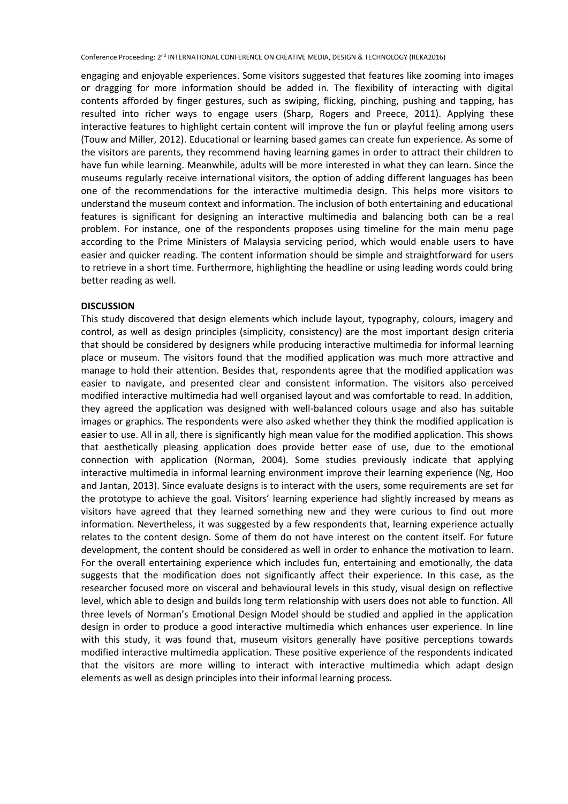engaging and enjoyable experiences. Some visitors suggested that features like zooming into images or dragging for more information should be added in. The flexibility of interacting with digital contents afforded by finger gestures, such as swiping, flicking, pinching, pushing and tapping, has resulted into richer ways to engage users (Sharp, Rogers and Preece, 2011). Applying these interactive features to highlight certain content will improve the fun or playful feeling among users (Touw and Miller, 2012). Educational or learning based games can create fun experience. As some of the visitors are parents, they recommend having learning games in order to attract their children to have fun while learning. Meanwhile, adults will be more interested in what they can learn. Since the museums regularly receive international visitors, the option of adding different languages has been one of the recommendations for the interactive multimedia design. This helps more visitors to understand the museum context and information. The inclusion of both entertaining and educational features is significant for designing an interactive multimedia and balancing both can be a real problem. For instance, one of the respondents proposes using timeline for the main menu page according to the Prime Ministers of Malaysia servicing period, which would enable users to have easier and quicker reading. The content information should be simple and straightforward for users to retrieve in a short time. Furthermore, highlighting the headline or using leading words could bring better reading as well.

## **DISCUSSION**

This study discovered that design elements which include layout, typography, colours, imagery and control, as well as design principles (simplicity, consistency) are the most important design criteria that should be considered by designers while producing interactive multimedia for informal learning place or museum. The visitors found that the modified application was much more attractive and manage to hold their attention. Besides that, respondents agree that the modified application was easier to navigate, and presented clear and consistent information. The visitors also perceived modified interactive multimedia had well organised layout and was comfortable to read. In addition, they agreed the application was designed with well-balanced colours usage and also has suitable images or graphics. The respondents were also asked whether they think the modified application is easier to use. All in all, there is significantly high mean value for the modified application. This shows that aesthetically pleasing application does provide better ease of use, due to the emotional connection with application (Norman, 2004). Some studies previously indicate that applying interactive multimedia in informal learning environment improve their learning experience (Ng, Hoo and Jantan, 2013). Since evaluate designs is to interact with the users, some requirements are set for the prototype to achieve the goal. Visitors' learning experience had slightly increased by means as visitors have agreed that they learned something new and they were curious to find out more information. Nevertheless, it was suggested by a few respondents that, learning experience actually relates to the content design. Some of them do not have interest on the content itself. For future development, the content should be considered as well in order to enhance the motivation to learn. For the overall entertaining experience which includes fun, entertaining and emotionally, the data suggests that the modification does not significantly affect their experience. In this case, as the researcher focused more on visceral and behavioural levels in this study, visual design on reflective level, which able to design and builds long term relationship with users does not able to function. All three levels of Norman's Emotional Design Model should be studied and applied in the application design in order to produce a good interactive multimedia which enhances user experience. In line with this study, it was found that, museum visitors generally have positive perceptions towards modified interactive multimedia application. These positive experience of the respondents indicated that the visitors are more willing to interact with interactive multimedia which adapt design elements as well as design principles into their informal learning process.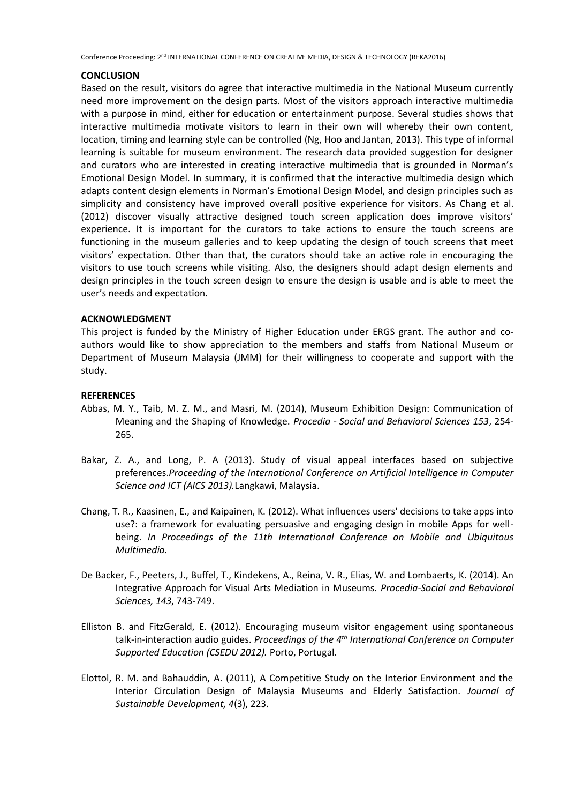## **CONCLUSION**

Based on the result, visitors do agree that interactive multimedia in the National Museum currently need more improvement on the design parts. Most of the visitors approach interactive multimedia with a purpose in mind, either for education or entertainment purpose. Several studies shows that interactive multimedia motivate visitors to learn in their own will whereby their own content, location, timing and learning style can be controlled (Ng, Hoo and Jantan, 2013). This type of informal learning is suitable for museum environment. The research data provided suggestion for designer and curators who are interested in creating interactive multimedia that is grounded in Norman's Emotional Design Model. In summary, it is confirmed that the interactive multimedia design which adapts content design elements in Norman's Emotional Design Model, and design principles such as simplicity and consistency have improved overall positive experience for visitors. As Chang et al. (2012) discover visually attractive designed touch screen application does improve visitors' experience. It is important for the curators to take actions to ensure the touch screens are functioning in the museum galleries and to keep updating the design of touch screens that meet visitors' expectation. Other than that, the curators should take an active role in encouraging the visitors to use touch screens while visiting. Also, the designers should adapt design elements and design principles in the touch screen design to ensure the design is usable and is able to meet the user's needs and expectation.

# **ACKNOWLEDGMENT**

This project is funded by the Ministry of Higher Education under ERGS grant. The author and coauthors would like to show appreciation to the members and staffs from National Museum or Department of Museum Malaysia (JMM) for their willingness to cooperate and support with the study.

## **REFERENCES**

- Abbas, M. Y., Taib, M. Z. M., and Masri, M. (2014), Museum Exhibition Design: Communication of Meaning and the Shaping of Knowledge. *Procedia - Social and Behavioral Sciences 153*, 254- 265.
- Bakar, Z. A., and Long, P. A (2013). Study of visual appeal interfaces based on subjective preferences.*Proceeding of the International Conference on Artificial Intelligence in Computer Science and ICT (AICS 2013).*Langkawi, Malaysia.
- Chang, T. R., Kaasinen, E., and Kaipainen, K. (2012). What influences users' decisions to take apps into use?: a framework for evaluating persuasive and engaging design in mobile Apps for wellbeing. *In Proceedings of the 11th International Conference on Mobile and Ubiquitous Multimedia.*
- De Backer, F., Peeters, J., Buffel, T., Kindekens, A., Reina, V. R., Elias, W. and Lombaerts, K. (2014). An Integrative Approach for Visual Arts Mediation in Museums. *Procedia-Social and Behavioral Sciences, 143*, 743-749.
- Elliston B. and FitzGerald, E. (2012). Encouraging museum visitor engagement using spontaneous talk-in-interaction audio guides. *Proceedings of the 4th International Conference on Computer Supported Education (CSEDU 2012).* Porto, Portugal.
- Elottol, R. M. and Bahauddin, A. (2011), A Competitive Study on the Interior Environment and the Interior Circulation Design of Malaysia Museums and Elderly Satisfaction. *Journal of Sustainable Development, 4*(3), 223.